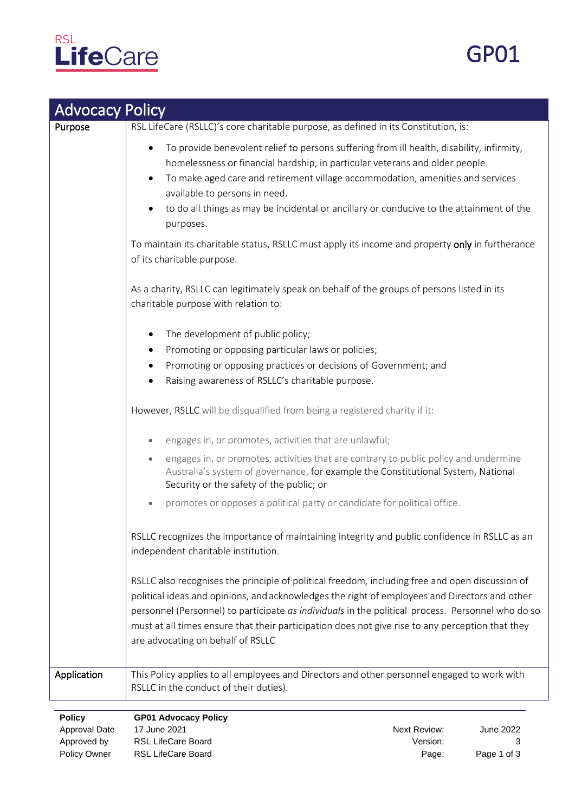

| <b>Advocacy Policy</b> |                                                                                                                                                                                                                                                                                                                                                                                                                                                |
|------------------------|------------------------------------------------------------------------------------------------------------------------------------------------------------------------------------------------------------------------------------------------------------------------------------------------------------------------------------------------------------------------------------------------------------------------------------------------|
| Purpose                | RSL LifeCare (RSLLC)'s core charitable purpose, as defined in its Constitution, is:                                                                                                                                                                                                                                                                                                                                                            |
|                        | To provide benevolent relief to persons suffering from ill health, disability, infirmity,<br>homelessness or financial hardship, in particular veterans and older people.<br>To make aged care and retirement village accommodation, amenities and services<br>available to persons in need.<br>to do all things as may be incidental or ancillary or conducive to the attainment of the<br>purposes.                                          |
|                        | To maintain its charitable status, RSLLC must apply its income and property only in furtherance<br>of its charitable purpose.                                                                                                                                                                                                                                                                                                                  |
|                        | As a charity, RSLLC can legitimately speak on behalf of the groups of persons listed in its<br>charitable purpose with relation to:                                                                                                                                                                                                                                                                                                            |
|                        | The development of public policy;<br>٠                                                                                                                                                                                                                                                                                                                                                                                                         |
|                        | Promoting or opposing particular laws or policies;                                                                                                                                                                                                                                                                                                                                                                                             |
|                        | Promoting or opposing practices or decisions of Government; and                                                                                                                                                                                                                                                                                                                                                                                |
|                        | Raising awareness of RSLLC's charitable purpose.                                                                                                                                                                                                                                                                                                                                                                                               |
|                        | However, RSLLC will be disqualified from being a registered charity if it:                                                                                                                                                                                                                                                                                                                                                                     |
|                        | engages in, or promotes, activities that are unlawful;                                                                                                                                                                                                                                                                                                                                                                                         |
|                        | engages in, or promotes, activities that are contrary to public policy and undermine<br>$\bullet$<br>Australia's system of governance, for example the Constitutional System, National<br>Security or the safety of the public; or                                                                                                                                                                                                             |
|                        | promotes or opposes a political party or candidate for political office.                                                                                                                                                                                                                                                                                                                                                                       |
|                        | RSLLC recognizes the importance of maintaining integrity and public confidence in RSLLC as an<br>independent charitable institution.                                                                                                                                                                                                                                                                                                           |
|                        | RSLLC also recognises the principle of political freedom, including free and open discussion of<br>political ideas and opinions, and acknowledges the right of employees and Directors and other<br>personnel (Personnel) to participate as individuals in the political process. Personnel who do so<br>must at all times ensure that their participation does not give rise to any perception that they<br>are advocating on behalf of RSLLC |
| Application            | This Policy applies to all employees and Directors and other personnel engaged to work with<br>RSLLC in the conduct of their duties).                                                                                                                                                                                                                                                                                                          |

**Policy GP01 Advocacy Policy** Approval Date 17 June 2021 Next Review: Approved by RSL LifeCare Board **Version:** Version: Policy Owner RSL LifeCare Board **Page:** Page:

June 2022 3 Page 1 of 3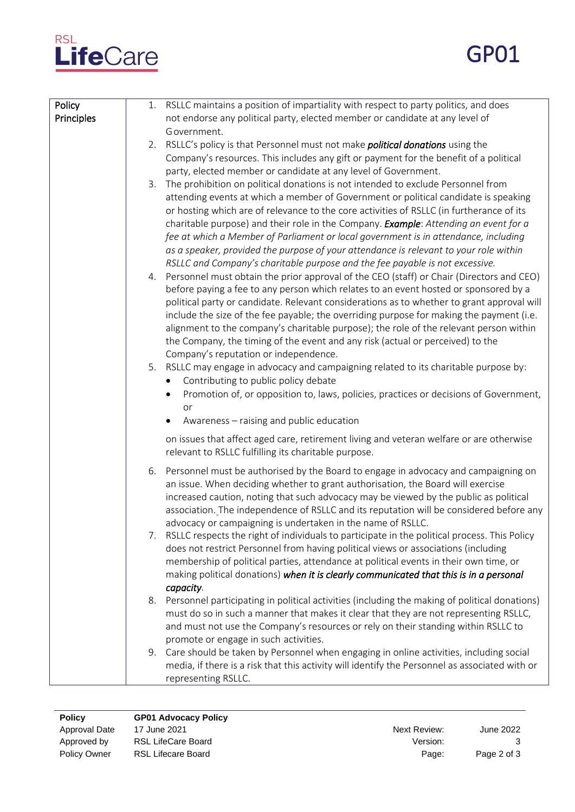

GP01

| Policy<br>Principles | 1. RSLLC maintains a position of impartiality with respect to party politics, and does<br>not endorse any political party, elected member or candidate at any level of<br>Government.                                                                                                                                                                                                                                                                                                                                                                                                                                             |
|----------------------|-----------------------------------------------------------------------------------------------------------------------------------------------------------------------------------------------------------------------------------------------------------------------------------------------------------------------------------------------------------------------------------------------------------------------------------------------------------------------------------------------------------------------------------------------------------------------------------------------------------------------------------|
|                      | 2. RSLLC's policy is that Personnel must not make <i>political donations</i> using the<br>Company's resources. This includes any gift or payment for the benefit of a political<br>party, elected member or candidate at any level of Government.                                                                                                                                                                                                                                                                                                                                                                                 |
|                      | The prohibition on political donations is not intended to exclude Personnel from<br>3.<br>attending events at which a member of Government or political candidate is speaking<br>or hosting which are of relevance to the core activities of RSLLC (in furtherance of its<br>charitable purpose) and their role in the Company. Example: Attending an event for a<br>fee at which a Member of Parliament or local government is in attendance, including<br>as a speaker, provided the purpose of your attendance is relevant to your role within<br>RSLLC and Company's charitable purpose and the fee payable is not excessive. |
|                      | 4. Personnel must obtain the prior approval of the CEO (staff) or Chair (Directors and CEO)<br>before paying a fee to any person which relates to an event hosted or sponsored by a<br>political party or candidate. Relevant considerations as to whether to grant approval will<br>include the size of the fee payable; the overriding purpose for making the payment (i.e.<br>alignment to the company's charitable purpose); the role of the relevant person within<br>the Company, the timing of the event and any risk (actual or perceived) to the<br>Company's reputation or independence.                                |
|                      | 5. RSLLC may engage in advocacy and campaigning related to its charitable purpose by:<br>Contributing to public policy debate<br>$\bullet$<br>Promotion of, or opposition to, laws, policies, practices or decisions of Government,<br>٠<br>or<br>Awareness - raising and public education                                                                                                                                                                                                                                                                                                                                        |
|                      | on issues that affect aged care, retirement living and veteran welfare or are otherwise<br>relevant to RSLLC fulfilling its charitable purpose.                                                                                                                                                                                                                                                                                                                                                                                                                                                                                   |
|                      | 6. Personnel must be authorised by the Board to engage in advocacy and campaigning on<br>an issue. When deciding whether to grant authorisation, the Board will exercise<br>increased caution, noting that such advocacy may be viewed by the public as political<br>association. The independence of RSLLC and its reputation will be considered before any<br>advocacy or campaigning is undertaken in the name of RSLLC.                                                                                                                                                                                                       |
|                      | 7. RSLLC respects the right of individuals to participate in the political process. This Policy<br>does not restrict Personnel from having political views or associations (including<br>membership of political parties, attendance at political events in their own time, or<br>making political donations) when it is clearly communicated that this is in a personal<br>capacity.                                                                                                                                                                                                                                             |
|                      | 8. Personnel participating in political activities (including the making of political donations)<br>must do so in such a manner that makes it clear that they are not representing RSLLC,<br>and must not use the Company's resources or rely on their standing within RSLLC to<br>promote or engage in such activities.                                                                                                                                                                                                                                                                                                          |
|                      | 9. Care should be taken by Personnel when engaging in online activities, including social<br>media, if there is a risk that this activity will identify the Personnel as associated with or<br>representing RSLLC.                                                                                                                                                                                                                                                                                                                                                                                                                |

**Policy GP01 Advocacy Policy** Approval Date 17 June 2021 Next Review: Approved by RSL LifeCare Board **Version:** Version: Policy Owner RSL Lifecare Board **Page:** Page:

June 2022 3 Page 2 of 3